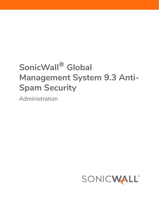# **SonicWall® Global Management System 9.3 Anti-Spam Security**

Administration

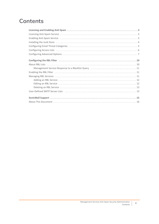### **Contents**

| Installing the Junk Store (a) and a series of the series of the series of the series of the series of the series of the series of the series of the series of the series of the series of the series of the series of the seri |
|--------------------------------------------------------------------------------------------------------------------------------------------------------------------------------------------------------------------------------|
|                                                                                                                                                                                                                                |
|                                                                                                                                                                                                                                |
|                                                                                                                                                                                                                                |
| Configuring the RBL Filter (and all continuous continuous continuous continuous continuous continuous continuo                                                                                                                 |
|                                                                                                                                                                                                                                |
|                                                                                                                                                                                                                                |
| Enabling the RBL Filter (and according to the control of the RBL filter of the RBL Filter (and according to the                                                                                                                |
|                                                                                                                                                                                                                                |
|                                                                                                                                                                                                                                |
|                                                                                                                                                                                                                                |
|                                                                                                                                                                                                                                |
|                                                                                                                                                                                                                                |
|                                                                                                                                                                                                                                |
|                                                                                                                                                                                                                                |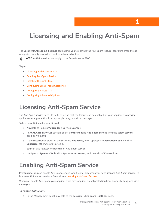# <span id="page-2-0"></span>**Licensing and Enabling Anti-Spam**

The **Security|Anti-Spam > Settings** page allows you to activate the Anti-Spam feature, configure email threat categories, modify access lists, and set advanced options.

**NOTE: Anti-Spam** does not apply to the SuperMassive 9800.

### **Topics:**

- **•** [Licensing Anti-Spam Service](#page-2-1)
- **•** [Enabling Anti-Spam Service](#page-2-2)
- **•** [Installing the Junk Store](#page-3-0)
- **•** [Configuring Email Threat Categories](#page-4-0)
- **•** [Configuring Access Lists](#page-5-0)
- **•** [Configuring Advanced Options](#page-6-0)

# <span id="page-2-1"></span>**Licensing Anti-Spam Service**

The Anti-Spam service needs to be licensed so that the feature can be enabled on your appliance to provide appliance-level protection from spam, phishing, and virus messages.

To license Anti-Spam for your firewall:

- 1 Navigate to **Register/Upgrades > Service Licenses**.
- 2 In **AVAILABLE SERVICES** section, select **Comprehensive Anti-Spam Service** from the **Select service** drop-down menu.
- 3 If the subscription status of the service is **Not Active**, enter appropriate **Activation Code** and click **Subscribe**, otherwise go to step 4.

You can also register for free trial of Anti-Spam service.

4 Navigate to **System > Tools,** click **Synchronize Licenses,** and then click **OK** to confirm**.**

### <span id="page-2-2"></span>**Enabling Anti-Spam Service**

**Prerequisite**: You can enable Anti-Spam service for a firewall only when you have licensed Anti-Spam service. To license Anti-Spam service for a firewall, see [Licensing Anti-Spam Service](#page-2-1).

When you enable Anti-Spam, your appliance will have appliance-level protection from spam, phishing, and virus messages.

#### *To enable Anti-Spam:*

1 In the Management Panel, navigate to the **Security | Anti-Spam > Settings** page.

**3**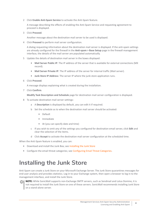2 Click **Enable Anti-Spam Service** to activate the Anti-Spam feature.

A message describing the effects of enabling the Anti-Spam Service and requesting agreement to proceed is displayed.

3 Click **Proceed**.

Another message about the destination mail server to be used is displayed.

4 Click **Proceed** to perform mail server configuration.

A dialog requesting information about the destination mail server is displayed. If the anti-spam settings are already configured for the firewall in the **Anti-spam > Base Setup** page in the firewall management interface, the details of the mail server are populated automatically.

- 5 Update the details of destination mail server in the boxes displayed:
	- **Mail Server Public IP**: The IP address of the server that is available for external connections (MX record).
	- **Mail Server Private IP**: The IP address of the server for internal traffic (Mail server).
	- **Junk Store IP Address**: The server IP where the junk store application runs.
- 6 Click **Proceed**.

A message displays explaining what is created during the installation.

7 Click **Confirm**.

**Modify Task Description and Schedule** page for destination mail server configuration is displayed.

- 8 To activate destination mail server settings:
	- a A **Description** is displayed by default, you can edit it if required.
	- b Set the schedule as to when the destination mail server should be activated:
		- **•** Default
		- **•** Immediate
		- **•** At (you can specify date and time)
	- c If you wish to omit any of the settings you configured for destination email server, click **Edit** and clear the selection of the items.
	- d Click **Accept** to activate the destination mail server configuration at the scheduled time.

When the Anti-Spam feature is enabled, you can:

- **•** Download and install the Junk Box; see [Installing the Junk Store](#page-3-0)
- **•** Configure the email threat categories; see [Configuring Email Threat Categories.](#page-4-0)

# <span id="page-3-0"></span>**Installing the Junk Store**

Anti-Spam can create a Junk Store on your Microsoft Exchange Server. The Junk Store quarantines messages for end-user analysis and provides statistics. Log in to your Exchange system, then open a browser to log in to the management interface, and install the Junk Store.

**NOTE:** While SonicWall supports non-Exchange SMTP servers, such as Sendmail and Lotus Domino, it is not required to install the Junk Store on one of these servers. SonicWall recommends installing Junk Store on a stand-alone server.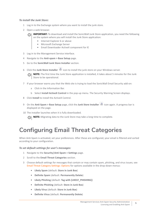### *To install the Junk Store:*

- 1 Log in to the Exchange system where you want to install the junk store.
- 2 Open a web browser.

**IMPORTANT:** To download and install the SonicWall Junk Store application, you need the following നി on the system where you will install the Junk Store application:

- **•** Internet Explorer 6 or above
- **•** Microsoft Exchange Server
- **•** Email Downloader ActiveX component for IE
- 3 Log in to the Management Service interface.
- 4 Navigate to the **Anti-spam > Base Setup** page.
- 5 Go to the **SonicWall Junk Store Installer** section.
- 6 Click the **Junk Store Installer** icon to install the junk store on your Windows server.

**NOTE:** The first time the Junk Store application is installed, it takes about 5 minutes for the Junk Store to be operational.

- 7 If your browser warns you that the Web site is trying to load the SonicWall Email Security add-on:
	- a Click in the Information Bar.
	- b Select **Install ActiveX Control** in the pop-up menu. The Security Warning Screen displays.
- 8 Click **Install** to install the ActiveX Control.
- 9 On the **Anti-Spam > Base Setup** page, click the **Junk Store Installer** icon again. A progress bar is displayed on the page.
- 10 The installer launches when it is fully downloaded.

**(i) | NOTE:** Migrating data to the Junk Store may take a long time to complete.

# <span id="page-4-0"></span>**Configuring Email Threat Categories**

When Anti-Spam is activated, set your preferences. After these are configured, your email is filtered and sorted according to your configuration.

### *To set default settings for user's messages:*

- 1 Navigate to the **Security|Anti-Spam > Settings** page.
- 2 Scroll to the **Email Threat Categories** section.
- 3 Choose default settings for messages that contain or may contain spam, phishing, and virus issues; see Email Threat Category Settings: Options for options available in the drop-down menus:
	- **Likely Spam** (default: **Store in Junk Box**)
	- **Definite Spam** (default: **Permanently Delete**)
	- **Likely Phishing** (default: **Tag with [LIKELY\_PHISHING]**)
	- **Definite Phishing** (default: **Store in Junk Box**)
	- **Likely Virus** (default: **Store in Junk Box**)
	- **Definite Virus** (default: **Permanently Delete**)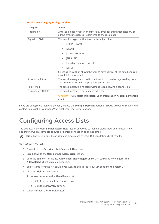### **Email Threat Category Settings: Options**

| Category                  | <b>Action</b>                                                                                                                        |  |  |
|---------------------------|--------------------------------------------------------------------------------------------------------------------------------------|--|--|
| Filtering off             | Anti-Spam does not scan and filter any email for this threat category, so<br>all the email messages are delivered to the recipients. |  |  |
| Tag With [TAG]            | The email is tagged with a term in the subject line:                                                                                 |  |  |
|                           | [LIKELY_SPAM]<br>۰                                                                                                                   |  |  |
|                           | [SPAM]<br>۰                                                                                                                          |  |  |
|                           | [LIKELY PHISHING]<br>۰                                                                                                               |  |  |
|                           | [PHISHING]<br>۰                                                                                                                      |  |  |
|                           | [Possible Time Zero Virus]                                                                                                           |  |  |
|                           | [VIRUS]<br>۰                                                                                                                         |  |  |
|                           | Selecting this option allows the user to have control of the email and can<br>junk it if it is unwanted.                             |  |  |
| Store in Junk Box         | The email message is stored in the Junk Box. It can be unjunked by users<br>and administrators with appropriate permissions.         |  |  |
| Reject Mail               | The email message is rejected without even allowing a connection.                                                                    |  |  |
| <b>Permanently Delete</b> | The email message is permanently deleted.                                                                                            |  |  |
|                           | <b>CAUTION:</b> If you select this option, your organization risks losing wanted<br>email.                                           |  |  |

If you are using more than one domain, choose the **Multiple Domains** option in **EMAIL DOMAINS** section and contact SonicWall or your SonicWall reseller for more information.

# <span id="page-5-0"></span>**Configuring Access Lists**

The two lists in the **User-defined Access Lists** section allow you to manage static allow and reject lists by designating which clients are allowed or denied connection to deliver email.

**NOTE:** Entry settings in these lists take precedence over GRID IP reputation check results.

### *To configure the lists:*

- 1 Navigate to the **Security | Anti-Spam > Settings** page.
- 2 Scroll down to the **User-defined Access Lists** section.
- 3 Click the **Edit** icon for the list, **Allow Client List** or **Reject Client List**, you want to configure. The **Allow/Reject Client List** dialog appears.
- 4 Select items from the left column you want to add to the Allow List or add to the Reject List.
- 5 Click the **Right Arrow** button.

To remove items from the **Allow/Reject** List:

- a Select the item(s) from the right box.
- b Click the **Left Arrow** button.
- 6 When finished, click the **OK** button.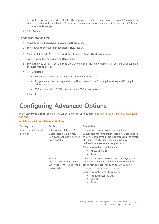- 7 Description is displayed by default in the **Description** box, edit the description if required. Specify as to when the task should be effective. To edit the configuration before you make it effective, click **Edit** and make required changes.
- 8 Click **Accept**.

### *To add a host to the lists:*

- 1 Navigate to the **Security|Anti-Spam > Settings** page.
- 2 Scroll down to the **User-defined Access Lists** section.
- 3 Click the **Add Host** icon. The **Add Host to Allow/Reject List** dialog appears.
- 4 Enter a name for the host in the **Name** field.
- 5 Select the type of host from the **Type** drop-down menu. The following setting(s) change, depending on the host type selected.
- 6 If you selected:
	- **Host** (default) enter the IP address in the **IP Address** field.
	- **Range** enter the starting and ending IP addresses in the **Starting IP Address** and **Ending IP Address** fields.
	- **FQDN** enter the FQDN hostname in the **FQDN Hostname** field.
- 7 Click **OK**.

# <span id="page-6-0"></span>**Configuring Advanced Options**

In the **Advanced Options** section, you can set the email options described in Anti-Spam > Settings: Advanced Options:.

### **Anti-Spam > Settings: Advanced Options**

| Setting type                   | <b>Setting</b>                                                                                      | <b>Description</b>                                                                                                                                                                                                                                 |
|--------------------------------|-----------------------------------------------------------------------------------------------------|----------------------------------------------------------------------------------------------------------------------------------------------------------------------------------------------------------------------------------------------------|
| Anti-Spam Advanced<br>Settings | Allow/Reject delivery of<br>unprocessed mails when<br>SonicWall Anti-Spam Service<br>is unavailable | If the Anti-Spam service is not enabled or<br>unavailable for some other reason, you can choose<br>to let all unprocessed emails go through or to reject<br>all unprocessed emails. Spam messages are<br>delivered to users as well as good email. |
|                                |                                                                                                     | Choose from the drop-down menu:<br><b>Allow</b> (default)<br>Reject<br>۰                                                                                                                                                                           |
|                                | Tag and<br>Deliver/Delete/Reject Emails<br>when SonicWall Junk Store is<br>unavailable              | If Junk Store cannot accept spam messages, you<br>can choose to delete them or deliver them with<br>cautionary subject lines such as [Phishing]<br>Please renew your account.                                                                      |
|                                |                                                                                                     | Choose from the drop-down menu:<br>Tag & Deliver (default)<br><b>Delete</b><br>۰<br>Reject                                                                                                                                                         |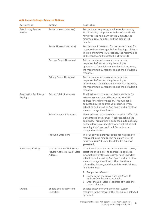| <b>Setting type</b>                        | <b>Setting</b>                                                          | <b>Description</b>                                                                                                                                                                                                                                                                                                                        |
|--------------------------------------------|-------------------------------------------------------------------------|-------------------------------------------------------------------------------------------------------------------------------------------------------------------------------------------------------------------------------------------------------------------------------------------------------------------------------------------|
| <b>Monitoring Service</b><br>Probes        | Probe Interval (minutes)                                                | Set the timer frequency, in minutes, for probing<br>Email Security components in the WAN and LAN<br>networks. The minimum time is 1 minute, the<br>maximum is 60 minutes, and the default is 5<br>minutes.                                                                                                                                |
|                                            | Probe Timeout (seconds)                                                 | Set the time, in seconds, for the probe to wait for<br>response from the target before flagging as failure.<br>The minimum time is 30 seconds, the maximum is<br>300 seconds, and the default is 30 seconds.                                                                                                                              |
|                                            | <b>Success Count Threshold</b>                                          | Set the number of consecutive successful<br>responses before declaring the entity as<br>operational. The minimum number is 1 response,<br>the maximum is 10 responses, and the default is 1<br>response.                                                                                                                                  |
|                                            | Failure Count Threshold                                                 | Set the number of consecutive successful<br>responses before declaring the entity as<br>unreachable. The minimum number is 1 response,<br>the maximum is 10 responses, and the default is 3<br>response.                                                                                                                                  |
| <b>Destination Mail Server</b><br>Settings | Server Public IP Address                                                | The IP address of the server that is available for<br>external connections. MTAs use this WAN IP<br>address for SMTP connection. This number is<br>populated by the address you specified when<br>activating and installing Anti-Spam and Junk Store.<br>You can change the address.                                                      |
|                                            | Server Private IP Address                                               | The IP address of the server for internal traffic. This<br>is the internal mail server IP address behind the<br>appliance. This number is populated automatically<br>by the address you specified when activating and<br>installing Anti-Spam and Junk Store. You can<br>change the address.                                              |
|                                            | <b>Inbound Email Port</b>                                               | The TCP service port your appliance has open to<br>receive inbound emails. The minimum is 0, the<br>maximum is 65535, and the default is function<br>generated.                                                                                                                                                                           |
| Junk Store Settings                        | Use Destination Mail Server<br>Private Address as Junk Store<br>Address | If the Junk Store is on the destination mail server,<br>select the checkbox. The address is populated<br>automatically by the address you specified when<br>activating and installing Anti-Spam and Junk Store.<br>You can change the address. This checkbox is<br>selected by default, and the Junk Store IP Address<br>field is dimmed. |
|                                            |                                                                         | To change the address:<br>1 Uncheck the checkbox. The Junk Store IP<br>Address field becomes available.<br>2 Enter the Junk Store IP address of where the<br>server is located.                                                                                                                                                           |
| Others                                     | Enable Email Subsystem<br>Detection                                     | Enables discover of available email system<br>resources in the network. This checkbox is selected<br>by default.                                                                                                                                                                                                                          |

### **Anti-Spam > Settings: Advanced Options**

Management Services Anti-Spam Security Administration Anti-Spam Security Administration<br>**Example 28** Licensing and Enabling Anti-Spam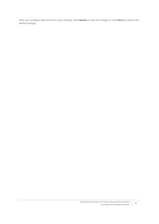After you configure Advanced Anti-spam settings, click **Update** to save the changes or click **Reset** to restore the default settings.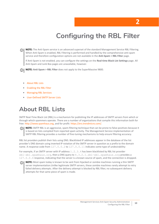# **Configuring the RBL Filter**

<span id="page-9-0"></span>**NOTE:** The Anti-Spam service is an advanced superset of the standard Management Service RBL Filtering. (i) When Anti-Spam is enabled, RBL Filtering is performed and handled by the comprehensive anti-spam service and therefore configuration options are not available in the **Anti-Spam > RBL Filter** page.

If Anti-Spam is not enabled, you can configure the settings on the **Real-time Black List Settings** page. All Anti-Spam and Junk Box pages are unavailable, however.

- **NOTE: Anti-Spam > RBL Filter** does not apply to the SuperMassive 9800.
	- **•** [About RBL Lists](#page-9-1)
	- **•** [Enabling the RBL Filter](#page-10-1)
	- **•** [Managing RBL Services](#page-10-2)
	- **•** [User-Defined SMTP Server Lists](#page-12-1)

# <span id="page-9-1"></span>**About RBL Lists**

SMTP Real-Time Black List (RBL) is a mechanism for publishing the IP addresses of SMTP servers from which or through which spammers operate. There are a number of organizations that compile this information both for free:<http://www.spamhaus.org>, and for profit: <https://ers.trendmicro.com/>.

**NOTE:** SMTP RBL is an aggressive, spam-filtering technique that can be prone to false-positives because it is based on lists compiled from reported spam activity. The Management Service implementation of SMTP RBL filtering provides a number of fine-tuning mechanisms to help ensure filtering accuracy.

RBL list providers publish their lists using DNS. Blacklisted IP addresses appear in the database of the list provider's DNS domain using inverted IP notation of the SMTP server in question as a prefix to the domain name. A response code from 127.0.0.2 to 127.0.0.11 indicates some type of undesirability:

For example, if an SMTP server with IP address 1.2.3.4 has been blacklisted by RBL list provider sbl-xbl.spamhaus.org, then a DNS query to  $4.3.2.1$ .sbl-xbl.spamhaus.org provides a 127.0.0.4 response, indicating that the server is a known source of spam, and the connection is dropped.

**NOTE:** Most spam today is known to be sent from hijacked or zombie machines running a thin SMTP നി server implementation.Unlike legitimate SMTP servers, these zombie machines rarely attempt to retry failed delivery attempts. After the delivery attempt is blocked by RBL filter, no subsequent delivery attempts for that same piece of spam is made.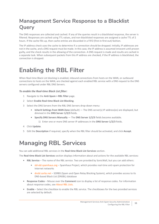# <span id="page-10-0"></span>**Management Service Response to a Blacklist Query**

The DNS responses are collected and cached. If any of the queries result in a blacklisted response, the server is filtered. Responses are cached using TTL values, and non-blacklisted responses are assigned a cache TTL of 2 hours. If the cache fills up, then cache entries are discarded in a FIFO (first-in-first-out) fashion.

The IP address check uses the cache to determine if a connection should be dropped. Initially, IP addresses are not in the cache, and a DNS request must be made. In this case, the IP address is assumed innocent until proven guilty, and the check results in the allowing of the connection. A DNS request is made and results are cached in a separate task. When subsequent packets from this IP address are checked, if the IP address is blacklisted, the connection is dropped.

# <span id="page-10-1"></span>**Enabling the RBL Filter**

When Real-time Black List blocking is enabled, inbound connections from hosts on the WAN, or outbound connections to hosts on the WAN, are checked against each enabled RBL service with a DNS request to the DNS servers configured under RBL DNS Servers.

### *To enable the Real-time Black List filter:*

- 1 Navigate to the **Anti-Spam > RBL Filter** page.
- 2 Select **Enable Real-time Black List Blocking**.
- 3 Select the DNS Servers from the RBL DNS Servers drop-down menu:
	- Inherit Settings from WAN Zone (default) The DNS server(s) IP address(es) are displayed, but dimmed in the **DNS Server 1/2/3** fields.
	- **Specify DNS Servers Manually** The **DNS Server 1/2/3** fields become available.
		- 1) Enter one or more DNS server IP addresses in the **DNS Server 1/2/3** fields.
- 4 Click **Update**.
- 5 Edit the **Description** if required, specify when the RBL filter should be activated, and click **Accept**.

# <span id="page-10-2"></span>**Managing RBL Services**

You can add additional RBL services in the **Real-time Black List Services** section.

The **Real-time Black List Services** section displays information about and actions for the available RBL services:

- **RBL Service** The name of the RBL service. Two are provided by SonicWall, but you can add others:
	- **•** [sbl-xbl.spamhaus.org](https://www.spamhaus.org/) Spamhaus Project, which provides real-time anti-spam protection for Internet networks
	- **•** [dnsbl.sorbs.net](www.dnsbl.sorbs.net)  SORBS (Spam and Open Relay Blocking System), which provides access to its DNS-based Black List (DNSBL) database
- **Response Codes** Mouse over the **Comment** icon to display a list of response codes. For information about response codes, see [About RBL Lists.](#page-9-1)
- **Enable** Select the checkbox to enable the RBL service. The checkboxes for the two provided services are selected by default.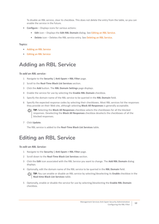To disable an RBL service, clear its checkbox. This does not delete the entry from the table, so you can enable the service in the future.

- **Configure** Displays icons for various actions:
	- **Edit** icon Displays the **Edit RBL Domain** dialog. See [Editing an RBL Service](#page-11-1).
	- **Delete** icon Deletes the RBL service entry. See [Deleting an RBL Service](#page-12-0).

### **Topics:**

- **•** [Adding an RBL Service](#page-11-0)
- **•** [Editing an RBL Service](#page-11-1)

### <span id="page-11-0"></span>**Adding an RBL Service**

### *To add an RBL service:*

- 1 Navigate to the **Security | Anti-Spam > RBL Filter** page.
- 2 Scroll to the **Real-Time Black List Services** section.
- 3 Click the **Add** button. The **RBL Domain Settings** page displays.
- 4 Enable the service for use by selecting the **Enable RBL Domain** checkbox.
- 5 Specify the domain name of the RBL service to be queried in the **RBL Domain** field.
- 6 Specify the expected response codes by selecting their checkboxes. Most RBL services list the responses they provide on their Web site, although selecting **Block All Responses** is generally acceptable.

**TIP:** Selecting the **Block All Responses** checkbox selects the checkboxes for all the blocked responses. Deselecting the **Block All Responses** checkbox deselects the checkboxes of all the blocked responses.

7 Click **Update**.

The RBL service is added to the **Real-Time Black List Services** table.

### <span id="page-11-1"></span>**Editing an RBL Service**

### *To edit an RBL Service:*

- 1 Navigate to the **Security | Anti-Spam > RBL Filter** page.
- 2 Scroll down to the **Real-Time Black List Services** section.
- 3 Click the **Edit** icon associated with the RBL Service you want to change. The **Add RBL Domain** dialog displays.
- 4 Optionally, edit the domain name of the RBL service to be queried in the **RBL Domain** field.

**TIP:** You can enable or disable an RBL service by selecting/deselecting its **Enable** checkbox in the **Real-time Black List Services** table.

5 Optionally, enable or disable the service for use by selecting/deselecting the **Enable RBL Domain** checkbox.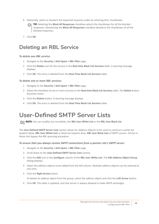6 Optionally, select or deselect the expected response codes by selecting their checkboxes.

**TIP:** Selecting the **Block All Responses** checkbox selects the checkboxes for all the blocked responses. Deselecting the **Block All Responses** checkbox deselects the checkboxes of all the blocked responses.

7 Click **OK**.

### <span id="page-12-0"></span>**Deleting an RBL Service**

### *To delete one RBL service:*

- 1 Navigate to the **Security | Anti-Spam > RBL Filter** page.
- 2 Click the **Delete** icon for the service in the **Real-time Black List Services** table. A warning message displays.
- 3 Click **OK**. The entry is deleted from the **Real-Time Black List Services** table.

### *To delete one or more RBL services:*

- 1 Navigate to the **Security | Anti-Spam > RBL Filter** page.
- 2 Select the checkbox of one or more services in the **Real-time Black List Services** table. The **Delete** button becomes active.
- 3 Click the **Delete** button. A warning message displays.
- 4 Click **OK**. The entry is deleted from the **Real-Time Black List Services** table.

# <span id="page-12-1"></span>**User-Defined SMTP Server Lists**

**NOTE:** You can modify, but not delete, the **RBL User White List** or the **RBL User Black List**.

The **User Defined SMTP Server Lists** section allows for Address Objects to be used to construct a white-list (explicit allow: **RBL User White List**) or black-list (explicit deny: **RBL User Black List**) of SMTP servers. Entries in these lists bypass the RBL querying procedure.

### *To ensure that you always receive SMTP connections from a partner site's SMTP server:*

- 1 Navigate to the **Security | Anti-Spam > RBL Filter** page.
- 2 Scroll down to the **User-Defined SMTP Server Lists** section.
- 3 Click the **Edit** icon in the **Configure** column of the **RBL User White List**. The **Edit Address Object Group** dialog displays.
- 4 Select the address objects to be added from the left column. Multiple address objects can be selected at one time.
- 5 Click the **Right Arrow** button.

To delete an address object from the group, select the address object and click the **Left Arrow** button.

6 Click **OK**. The table is updated, and that server is always allowed to make SMTP exchanges.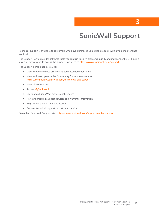# **SonicWall Support**

<span id="page-14-0"></span>Technical support is available to customers who have purchased SonicWall products with a valid maintenance contract.

The Support Portal provides self-help tools you can use to solve problems quickly and independently, 24 hours a day, 365 days a year. To access the Support Portal, go to <https://www.sonicwall.com/support>.

The Support Portal enables you to:

- **•** View knowledge base articles and technical documentation
- **•** View and participate in the Community forum discussions at [https://community.sonicwall.com/technology-and-support.](https://community.sonicwall.com/technology-and-support)
- **•** View video tutorials
- **•** Access [MySonicWall](https://mysonicwall.com/muir/login)
- **•** Learn about SonicWall professional services
- **•** Review SonicWall Support services and warranty information
- **•** Register for training and certification
- **•** Request technical support or customer service

To contact SonicWall Support, visit <https://www.sonicwall.com/support/contact-support>.